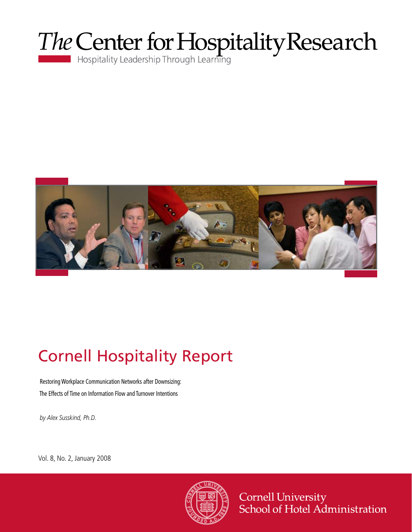



# Cornell Hospitality Report

Restoring Workplace Communication Networks after Downsizing: The Effects of Time on Information Flow and Turnover Intentions

*by Alex Susskind, Ph.D.*

Vol. 8, No. 2, January 2008



Cornell University<br>School of Hotel Administration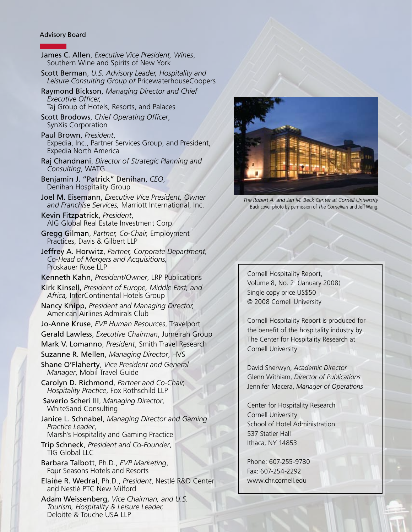#### Advisory Board

- James C. Allen, *Executive Vice President, Wines*, Southern Wine and Spirits of New York Scott Berman, *U.S. Advisory Leader, Hospitality and Leisure Consulting Group of* PricewaterhouseCoopers Raymond Bickson, *Managing Director and Chief Executive Officer,* Taj Group of Hotels, Resorts, and Palaces Scott Brodows, *Chief Operating Officer*, SynXis Corporation Paul Brown, *President*, Expedia, Inc., Partner Services Group, and President, Expedia North America Raj Chandnani, *Director of Strategic Planning and Consulting*, WATG Benjamin J. "Patrick" Denihan, *CEO*, Denihan Hospitality Group Joel M. Eisemann, *Executive Vice President, Owner and Franchise Services,* Marriott International, Inc. Kevin Fitzpatrick, *President*, AIG Global Real Estate Investment Corp. Gregg Gilman, *Partner, Co-Chair,* Employment Practices, Davis & Gilbert LLP Jeffrey A. Horwitz, *Partner, Corporate Department, Co-Head of Mergers and Acquisitions,*  Proskauer Rose LLP Kenneth Kahn, *President/Owner*, LRP Publications Kirk Kinsell, *President of Europe, Middle East, and Africa,* InterContinental Hotels Group Nancy Knipp, *President and Managing Director,*  American Airlines Admirals Club Jo-Anne Kruse, *EVP Human Resources*, Travelport Gerald Lawless, *Executive Chairman*, Jumeirah Group Mark V. Lomanno, *President*, Smith Travel Research Suzanne R. Mellen, *Managing Director*, HVS Shane O'Flaherty, *Vice President and General Manager*, Mobil Travel Guide Carolyn D. Richmond, *Partner and Co-Chair, Hospitality Practice*, Fox Rothschild LLP Saverio Scheri III, *Managing Director*, WhiteSand Consulting Janice L. Schnabel, *Managing Director and Gaming Practice Leader*, Marsh's Hospitality and Gaming Practice Trip Schneck, *President and Co-Founder*, TIG Global LLC Barbara Talbott, Ph.D., *EVP Marketing*, Four Seasons Hotels and Resorts Elaine R. Wedral, Ph.D., *President*, Nestlé R&D Center and Nestlé PTC New Milford
- Adam Weissenberg, *Vice Chairman, and U.S. Tourism, Hospitality & Leisure Leader,*  Deloitte & Touche USA LLP



*The Robert A. and Jan M. Beck Center at Cornell University* Back cover photo by permission of *The Cornellian* and Jeff Wang.

Cornell Hospitality Report, Volume 8, No. 2 (January 2008) Single copy price US\$50 © 2008 Cornell University

Cornell Hospitality Report is produced for the benefit of the hospitality industry by The Center for Hospitality Research at Cornell University

David Sherwyn, *Academic Director* Glenn Withiam, *Director of Publications* Jennifer Macera, *Manager of Operations*

Center for Hospitality Research Cornell University School of Hotel Administration 537 Statler Hall Ithaca, NY 14853

Phone: 607-255-9780 Fax: 607-254-2292 www.chr.cornell.edu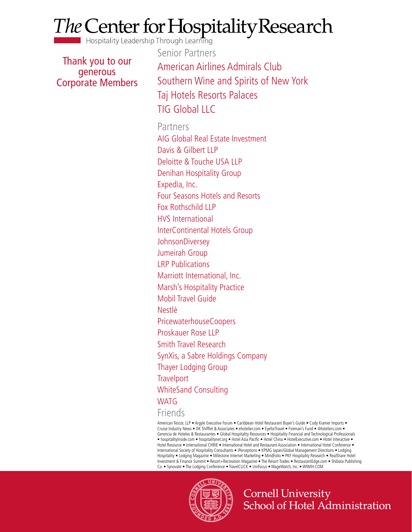# *The* Center for Hospitality Research **Hospitality Leadership Through Learning**

Thank you to our generous Corporate Members

Senior Partners American Airlines Admirals Club Southern Wine and Spirits of New York Taj Hotels Resorts Palaces TIG Global LLC

Partners AIG Global Real Estate Investment Davis & Gilbert LLP Deloitte & Touche USA LLP Denihan Hospitality Group Expedia, Inc. Four Seasons Hotels and Resorts Fox Rothschild LLP HVS International InterContinental Hotels Group **JohnsonDiversey** Jumeirah Group LRP Publications Marriott International, Inc. Marsh's Hospitality Practice Mobil Travel Guide Nestlé PricewaterhouseCoopers Proskauer Rose LLP Smith Travel Research SynXis, a Sabre Holdings Company Thayer Lodging Group **Travelport** WhiteSand Consulting WATG

Friends

American Tescor, LLP • Argyle Executive Forum • Caribbean Hotel Restaurant Buyer's Guide • Cody Kramer Imports • Cruise Industry News • DK Shifflet & Associates • ehotelier.com • EyeforTravel • Fireman's Fund • 4Hoteliers.com • Gerencia de Hoteles & Restaurantes • Global Hospitality Resources • Hospitality Financial and Technological Professionals • hospitalityInside.com • hospitalitynet.org • Hotel Asia Pacific • Hotel China • HotelExecutive.com • Hotel Interactive • Hotel Resource • International CHRIE • International Hotel and Restaurant Association • International Hotel Conference • International Society of Hospitality Consultants • iPerceptions • KPMG Japan/Global Management Directions • Lodging Hospitality • Lodging Magazine • Milestone Internet Marketing • MindFolio • PKF Hospitality Research • RealShare Hotel Investment & Finance Summit • Resort+Recreation Magazine • The Resort Trades • RestaurantEdge.com • Shibata Publishing Co. • Synovate • The Lodging Conference • TravelCLICK • UniFocus • WageWatch, Inc. • WIWIH.COM



**Cornell University** School of Hotel Administration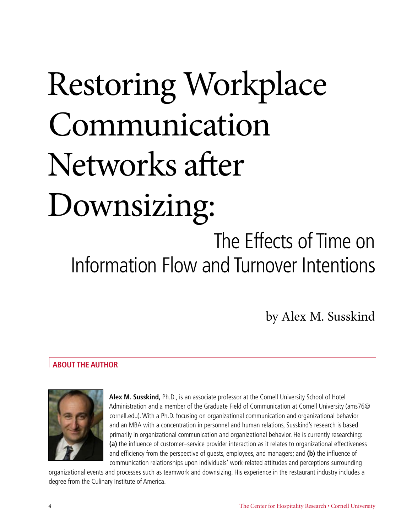# Restoring Workplace Communication Networks after Downsizing: The Effects of Time on Information Flow and Turnover Intentions

by Alex M. Susskind

## **About the Author**



**Alex M. Susskind,** Ph.D., is an associate professor at the Cornell University School of Hotel Administration and a member of the Graduate Field of Communication at Cornell University (ams76@ cornell.edu). With a Ph.D. focusing on organizational communication and organizational behavior and an MBA with a concentration in personnel and human relations, Susskind's research is based primarily in organizational communication and organizational behavior. He is currently researching: **(a)** the influence of customer–service provider interaction as it relates to organizational effectiveness and efficiency from the perspective of guests, employees, and managers; and **(b)** the influence of communication relationships upon individuals' work-related attitudes and perceptions surrounding

organizational events and processes such as teamwork and downsizing. His experience in the restaurant industry includes a degree from the Culinary Institute of America.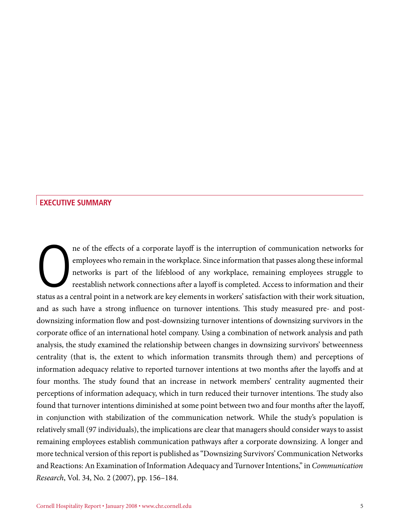### **Executive Summary**

The of the effects of a corporate layoff is the interruption of communication networks for employees who remain in the workplace. Since information that passes along these informal networks is part of the lifeblood of any ne of the effects of a corporate layoff is the interruption of communication networks for employees who remain in the workplace. Since information that passes along these informal networks is part of the lifeblood of any workplace, remaining employees struggle to reestablish network connections after a layoff is completed. Access to information and their and as such have a strong influence on turnover intentions. This study measured pre- and postdownsizing information flow and post-downsizing turnover intentions of downsizing survivors in the corporate office of an international hotel company. Using a combination of network analysis and path analysis, the study examined the relationship between changes in downsizing survivors' betweenness centrality (that is, the extent to which information transmits through them) and perceptions of information adequacy relative to reported turnover intentions at two months after the layoffs and at four months. The study found that an increase in network members' centrality augmented their perceptions of information adequacy, which in turn reduced their turnover intentions. The study also found that turnover intentions diminished at some point between two and four months after the layoff, in conjunction with stabilization of the communication network. While the study's population is relatively small (97 individuals), the implications are clear that managers should consider ways to assist remaining employees establish communication pathways after a corporate downsizing. A longer and more technical version of this report is published as "Downsizing Survivors' Communication Networks and Reactions: An Examination of Information Adequacy and Turnover Intentions," in *Communication Research*, Vol. 34, No. 2 (2007), pp. 156–184.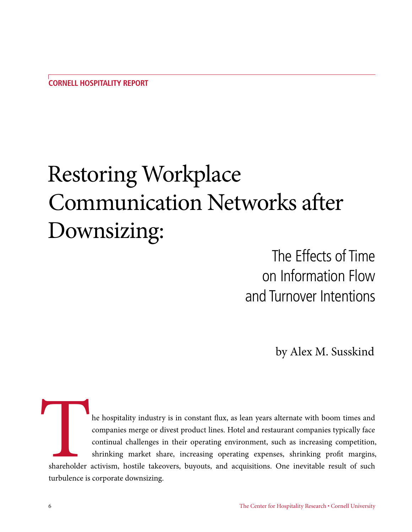# Restoring Workplace Communication Networks after Downsizing:

The Effects of Time on Information Flow and Turnover Intentions

by Alex M. Susskind

The hospitality industry is in constant flux, as lean years alternate with boom times and companies merge or divest product lines. Hotel and restaurant companies typically face continual challenges in their operating envir companies merge or divest product lines. Hotel and restaurant companies typically face continual challenges in their operating environment, such as increasing competition, shrinking market share, increasing operating expenses, shrinking profit margins, shareholder activism, hostile takeovers, buyouts, and acquisitions. One inevitable result of such turbulence is corporate downsizing.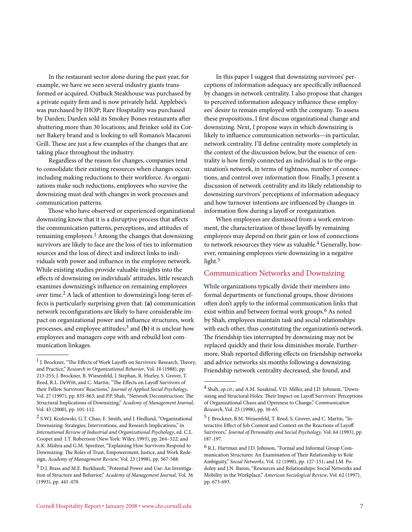In the restaurant sector alone during the past year, for example, we have we seen several industry giants transformed or acquired. Outback Steakhouse was purchased by a private equity firm and is now privately held. Applebee's was purchased by IHOP; Rare Hospitality was purchased by Darden; Darden sold its Smokey Bones restaurants after shuttering more than 30 locations; and Brinker sold its Corner Bakery brand and is looking to sell Romano's Macaroni Grill. These are just a few examples of the changes that are taking place throughout the industry.

Regardless of the reason for changes, companies tend to consolidate their existing resources when changes occur, including making reductions to their workforce. As organizations make such reductions, employees who survive the downsizing must deal with changes in work processes and communication patterns.

Those who have observed or experienced organizational downsizing know that it is a disruptive process that affects the communication patterns, perceptions, and attitudes of remaining employees.<sup>1</sup> Among the changes that downsizing survivors are likely to face are the loss of ties to information sources and the loss of direct and indirect links to individuals with power and influence in the employee network. While existing studies provide valuable insights into the effects of downsizing on individuals' attitudes, little research examines downsizing's influence on remaining employees over time.<sup>2</sup> A lack of attention to downsizing's long-term effects is particularly surprising given that: **(a)** communication network reconfigurations are likely to have considerable impact on organizational power and influence structures, work processes, and employee attitudes;3 and **(b)** it is unclear how employees and managers cope with and rebuild lost communication linkages.

In this paper I suggest that downsizing survivors' perceptions of information adequacy are specifically influenced by changes in network centrality. I also propose that changes to perceived information adequacy influence these employees' desire to remain employed with the company. To assess these propositions, I first discuss organizational change and downsizing. Next, I propose ways in which downsizing is likely to influence communication networks—in particular, network centrality. I'll define centrality more completely in the context of the discussion below, but the essence of centrality is how firmly connected an individual is to the organization's network, in terms of tightness, number of connections, and control over information flow. Finally, I present a discussion of network centrality and its likely relationship to downsizing survivors' perceptions of information adequacy and how turnover intentions are influenced by changes in information flow during a layoff or reorganization.

When employees are dismissed from a work environment, the characterization of those layoffs by remaining employees may depend on their gain or loss of connections to network resources they view as valuable.<sup>4</sup> Generally, however, remaining employees view downsizing in a negative light.5

#### Communication Networks and Downsizing

While organizations typically divide their members into formal departments or functional groups, those divisions often don't apply to the informal communication links that exist within and between formal work groups.<sup>6</sup> As noted by Shah, employees maintain task and social relationships with each other, thus constituting the organization's network. The friendship ties interrupted by downsizing may not be replaced quickly and their loss diminishes morale. Furthermore, Shah reported differing effects on friendship networks and advice networks six months following a downsizing. Friendship network centrality decreased, she found, and

 $^{\rm 1}$  J. Brockner, "The Effects of Work Layoffs on Survivors: Research, Theory, and Practice," *Research in Organizational Behavior*, Vol. 10 (1988), pp. 213-255; J. Brockner, B. Wiesenfeld, J. Stephan, R. Hurley, S. Grover, T. Reed, R.L. DeWitt, and C. Martin, "The Effects on Layoff Survivors of their Fellow Survivors' Reactions," *Journal of Applied Social Psychology*, Vol. 27 (1997), pp. 835-863; and P.P. Shah, "Network Deconstruction: The Structural Implications of Downsizing," *Academy of Management Journal*, Vol. 43 (2000), pp. 101-112.

<sup>2</sup> S.W.J. Kozlowski, G.T. Chao, E. Smith, and J. Hedlund, "Organizational Downsizing: Strategies, Interventions, and Research Implications," in *International Review of Industrial and Organizational Psychology*, ed. C.L. Cooper and I.T. Robertson (New York: Wiley, 1993), pp. 264–322; and A.K. Mishra and G.M. Spreitzer, "Explaining How Survivors Respond to Downsizing: The Roles of Trust, Empowerment, Justice, and Work Redesign, *Academy of Management Review*, Vol. 23 (1998), pp. 567-588.

<sup>3</sup> D.J. Brass and M.E. Burkhardt, "Potential Power and Use: An Investigation of Structure and Behavior," *Academy of Management Journal*, Vol. 36 (1993), pp. 441-470.

<sup>4</sup> Shah, *op.cit.*; and A.M. Susskind, V.D. Miller, and J.D. Johnson, "Downsizing and Structural Holes: Their Impact on Layoff Survivors' Perceptions of Organizational Chaos and Openness to Change," *Communication Research*, Vol. 25 (1998), pp. 30-65.

<sup>5</sup> J. Brockner, B.M. Weisenfeld, T. Reed, S. Grover, and C. Martin, "Interactive Effect of Job Content and Context on the Reactions of Layoff Survivors," *Journal of Personality and Social Psychology*, Vol. 64 (1993), pp. 187-197.

<sup>6</sup> R.L. Hartman and J.D. Johnson, "Formal and Informal Group Communication Structures: An Examination of Their Relationship to Role Ambiguity," *Social Networks*, Vol. 12 (1990), pp. 127-151; and J.M. Podolny and J.N. Baron, "Resources and Relationships: Social Networks and Mobility in the Workplace," *American Sociological Review*, Vol. 62 (1997), pp. 673-693.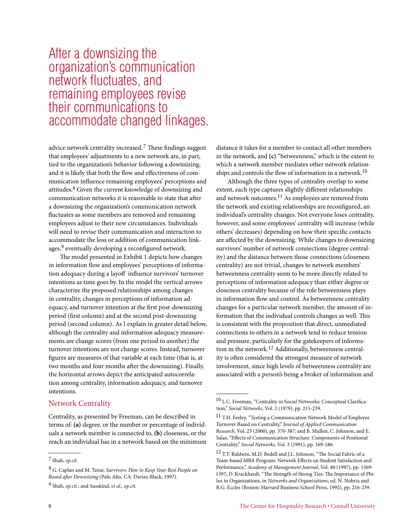# After a downsizing the organization's communication network fluctuates, and remaining employees revise their communications to accommodate changed linkages.

advice network centrality increased. 7 These findings suggest that employees' adjustments to a new network are, in part, tied to the organization's behavior following a downsizing, and it is likely that both the flow and effectiveness of communication influence remaining employees' perceptions and attitudes.8 Given the current knowledge of downsizing and communication networks it is reasonable to state that after a downsizing the organization's communication network fluctuates as some members are removed and remaining employees adjust to their new circumstances. Individuals will need to revise their communication and interaction to accommodate the loss or addition of communication linkages,<sup>9</sup> eventually developing a reconfigured network.

The model presented in Exhibit 1 depicts how changes in information flow and employees' perceptions of information adequacy during a layoff influence survivors' turnover intentions as time goes by. In the model the vertical arrows characterize the proposed relationships among changes in centrality, changes in perceptions of information adequacy, and turnover intention at the first post-downsizing period (first column) and at the second post-downsizing period (second column). As I explain in greater detail below, although the centrality and information adequacy measurements are change scores (from one period to another) the turnover intentions are not change scores. Instead, turnover figures are measures of that variable at each time (that is, at two months and four months after the downsizing). Finally, the horizontal arrows depict the anticipated autocorrelation among centrality, information adequacy, and turnover intentions.

### Network Centrality

Centrality, as presented by Freeman, can be described in terms of: **(a)** degree, or the number or percentage of individuals a network member is connected to, **(b)** closeness, or the reach an individual has in a network based on the minimum

8 G. Caplan and M. Teese, *Survivors: How to Keep Your Best People on Board after Downsizing* (Palo Alto, CA: Davies-Black, 1997).

distance it takes for a member to contact all other members in the network, and **(c)** "betweenness," which is the extent to which a network member mediates other network relationships and controls the flow of information in a network.<sup>10</sup>

Although the three types of centrality overlap to some extent, each type captures slightly different relationships and network outcomes.11 As employees are removed from the network and existing relationships are reconfigured, an individual's centrality changes. Not everyone loses centrality, however, and some employees' centrality will increase (while others' decreases) depending on how their specific contacts are affected by the downsizing. While changes to downsizing survivors' number of network connections (degree centrality) and the distance between those connections (closeness centrality) are not trivial, changes to network members' betweenness centrality seem to be more directly related to perceptions of information adequacy than either degree or closeness centrality because of the role betweenness plays in information flow and control. As betweenness centrality changes for a particular network member, the amount of information that the individual controls changes as well. This is consistent with the proposition that direct, unmediated connections to others in a network tend to reduce tension and pressure, particularly for the gatekeepers of information in the network.12 Additionally, betweenness centrality is often considered the strongest measure of network involvement, since high levels of betweenness centrality are associated with a person's being a broker of information and

<sup>7</sup> Shah, *op.cit.*

<sup>9</sup> Shah, *op.cit.*; and Susskind, *et al., op.cit.*

<sup>10</sup> L.C. Freeman, "Centrality in Social Networks: Conceptual Clarification," *Social Networks*, Vol. 2 (1979), pp. 215-239.

<sup>11</sup> T.H. Feeley, "Testing a Communication Network Model of Employee Turnover Based on Centrality," *Journal of Applied Communication Research*, Vol. 23 (2000), pp. 370-387; and B. Mullen, C. Johnson, and E. Salas, "Effects of Communication Structure: Components of Positional Centrality," *Social Networks*, Vol. 3 (1991), pp. 169-186.

<sup>&</sup>lt;sup>12</sup> T.T. Baldwin, M.D. Bedell and J.L. Johnson, "The Social Fabric of a Team-based MBA Program: Network Effects on Student Satisfaction and Performance," *Academy of Management Journal*, Vol. 40 (1997), pp. 1369- 1397; D. Krackhardt, "The Strength of Strong Ties: The Importance of Philos in Organizations, in *Networks and Organizations*, ed. N. Nohria and R.G. Eccles (Boston: Harvard Business School Press, 1992), pp. 216-239.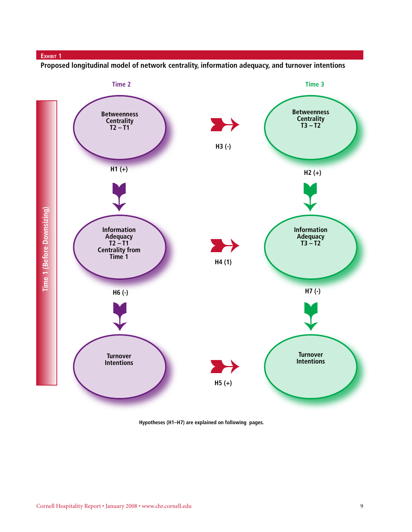#### **Exhibit 1**

**Proposed longitudinal model of network centrality, information adequacy, and turnover intentions**



**Hypotheses (H1–H7) are explained on following pages.**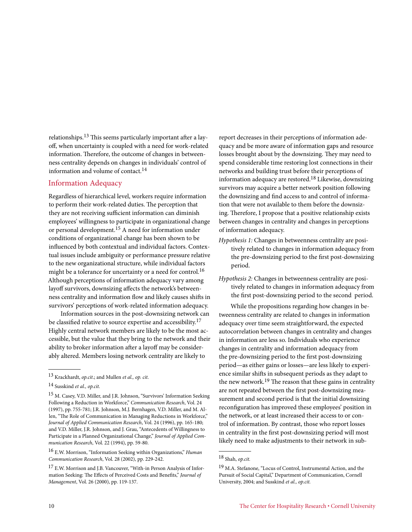relationships.13 This seems particularly important after a layoff, when uncertainty is coupled with a need for work-related information. Therefore, the outcome of changes in betweenness centrality depends on changes in individuals' control of information and volume of contact.14

#### Information Adequacy

Regardless of hierarchical level, workers require information to perform their work-related duties. The perception that they are not receiving sufficient information can diminish employees' willingness to participate in organizational change or personal development.15 A need for information under conditions of organizational change has been shown to be influenced by both contextual and individual factors. Contextual issues include ambiguity or performance pressure relative to the new organizational structure, while individual factors might be a tolerance for uncertainty or a need for control.16 Although perceptions of information adequacy vary among layoff survivors, downsizing affects the network's betweenness centrality and information flow and likely causes shifts in survivors' perceptions of work-related information adequacy.

Information sources in the post-downsizing network can be classified relative to source expertise and accessibility.17 Highly central network members are likely to be the most accessible, but the value that they bring to the network and their ability to broker information after a layoff may be considerably altered. Members losing network centrality are likely to

report decreases in their perceptions of information adequacy and be more aware of information gaps and resource losses brought about by the downsizing. They may need to spend considerable time restoring lost connections in their networks and building trust before their perceptions of information adequacy are restored.18 Likewise, downsizing survivors may acquire a better network position following the downsizing and find access to and control of information that were not available to them before the downsizing. Therefore, I propose that a positive relationship exists between changes in centrality and changes in perceptions of information adequacy.

- *Hypothesis 1:* Changes in betweenness centrality are positively related to changes in information adequacy from the pre-downsizing period to the first post-downsizing period.
- *Hypothesis 2:* Changes in betweenness centrality are positively related to changes in information adequacy from the first post-downsizing period to the second period.

While the propositions regarding how changes in betweenness centrality are related to changes in information adequacy over time seem straightforward, the expected autocorrelation between changes in centrality and changes in information are less so. Individuals who experience changes in centrality and information adequacy from the pre-downsizing period to the first post-downsizing period—as either gains or losses—are less likely to experience similar shifts in subsequent periods as they adapt to the new network.<sup>19</sup> The reason that these gains in centrality are not repeated between the first post-downsizing measurement and second period is that the initial downsizing reconfiguration has improved these employees' position in the network, or at least increased their access to or control of information. By contrast, those who report losses in centrality in the first post-downsizing period will most likely need to make adjustments to their network in sub-

<sup>13</sup> Krackhardt, *op.cit*.; and Mullen *et al., op. cit*.

<sup>14</sup> Susskind *et al., op.cit.*

<sup>15</sup> M. Casey, V.D. Miller, and J.R. Johnson, "Survivors' Information Seeking Following a Reduction in Workforce," *Communication Research*, Vol. 24 (1997), pp. 755-781; J.R. Johnson, M.J. Bernhagen, V.D. Miller, and M. Allen, "The Role of Communication in Managing Reductions in Workforce," *Journal of Applied Communication Research*, Vol. 24 (1996), pp. 165-180; and V.D. Miller, J.R. Johnson, and J. Grau, "Antecedents of Willingness to Participate in a Planned Organizational Change," *Journal of Applied Communication Research*, Vol. 22 (1994), pp. 59-80.

<sup>16</sup> E.W. Morrison, "Information Seeking within Organizations," *Human Communication Research*, Vol. 28 (2002), pp. 229-242.

<sup>17</sup> E.W. Morrison and J.B. Vancouver, "With-in Person Analysis of Information Seeking: The Effects of Perceived Costs and Benefits," *Journal of Management*, Vol. 26 (2000), pp. 119-137.

<sup>18</sup> Shah, *op.cit.*

<sup>19</sup> M.A. Stefanone, "Locus of Control, Instrumental Action, and the Pursuit of Social Capital," Department of Communication, Cornell University, 2004; and Susskind *et al., op.cit.*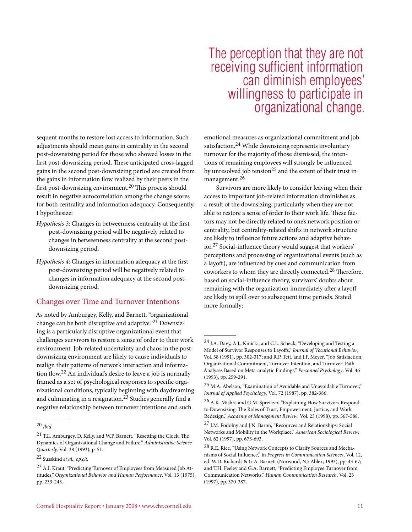sequent months to restore lost access to information. Such adjustments should mean gains in centrality in the second post-downsizing period for those who showed losses in the first post-downsizing period. These anticipated cross-lagged gains in the second post-downsizing period are created from the gains in information flow realized by their peers in the first post-downsizing environment.20 This process should result in negative autocorrelation among the change scores for both centrality and information adequacy. Consequently, I hypothesize:

- *Hypothesis 3*: Changes in betweenness centrality at the first post-downsizing period will be negatively related to changes in betweenness centrality at the second postdownsizing period.
- *Hypothesis 4*: Changes in information adequacy at the first post-downsizing period will be negatively related to changes in information adequacy at the second postdownsizing period.

#### Changes over Time and Turnover Intentions

As noted by Amburgey, Kelly, and Barnett, "organizational change can be both disruptive and adaptive."21 Downsizing is a particularly disruptive organizational event that challenges survivors to restore a sense of order to their work environment. Job-related uncertainty and chaos in the postdownsizing environment are likely to cause individuals to realign their patterns of network interaction and information flow.22 An individual's desire to leave a job is normally framed as a set of psychological responses to specific organizational conditions, typically beginning with daydreaming and culminating in a resignation.23 Studies generally find a negative relationship between turnover intentions and such

# The perception that they are not receiving sufficient information can diminish employees' willingness to participate in organizational change.

emotional measures as organizational commitment and job satisfaction.24 While downsizing represents involuntary turnover for the majority of those dismissed, the intentions of remaining employees will strongly be influenced by unresolved job tension<sup>25</sup> and the extent of their trust in management.26

Survivors are more likely to consider leaving when their access to important job-related information diminishes as a result of the downsizing, particularly when they are not able to restore a sense of order to their work life. These factors may not be directly related to one's network position or centrality, but centrality-related shifts in network structure are likely to influence future actions and adaptive behavior.27 Social-influence theory would suggest that workers' perceptions and processing of organizational events (such as a layoff), are influenced by cues and communication from coworkers to whom they are directly connected.28 Therefore, based on social-influence theory, survivors' doubts about remaining with the organization immediately after a layoff are likely to spill over to subsequent time periods. Stated more formally:

<sup>20</sup> *Ibid*.

<sup>21</sup> T.L. Amburgey, D. Kelly, and W.P. Barnett, "Resetting the Clock: The Dynamics of Organizational Change and Failure," *Administrative Science Quarterly,* Vol. 38 (1993), p. 51.

<sup>22</sup> Susskind *et al., op.cit.*

<sup>23</sup> A.I. Kraut, "Predicting Turnover of Employees from Measured Job Attitudes," *Organizational Behavior and Human Performance*, Vol. 13 (1975), pp. 233-243.

<sup>24</sup> J.A. Davy, A.J., Kinicki, and C.L. Scheck, "Developing and Testing a Model of Survivor Responses to Layoffs," *Journal of Vocational Behavior*, Vol. 38 (1991), pp. 302-317; and R.P. Tett, and J.P. Meyer, "Job Satisfaction, Organizational Commitment, Turnover Intention, and Turnover: Path Analyses Based on Meta-analytic Findings," *Personnel Psychology*, Vol. 46 (1993), pp. 259-291.

 $^{25}$  M.A. Abelson, "Examination of Avoidable and Unavoidable Turnover," *Journal of Applied Psychology*, Vol. 72 (1987), pp. 382-386.

<sup>26</sup> A.K. Mishra and G.M. Spreitzer, "Explaining How Survivors Respond to Downsizing: The Roles of Trust, Empowerment, Justice, and Work Redesign," *Academy of Management Review*, Vol. 23 (1998), pp. 567-588.

<sup>27</sup> J.M. Podolny and J.N. Baron, "Resources and Relationships: Social Networks and Mobility in the Workplace," *American Sociological Review,*  Vol. 62 (1997), pp. 673-693.

<sup>28</sup> R.E. Rice, "Using Network Concepts to Clarify Sources and Mechanisms of Social Influence," in *Progress in Communication Sciences*, Vol. 12, ed. W.D. Richards & G.A. Barnett (Norwood, NJ: Ablex, 1993), pp. 43-67; and T.H. Feeley and G.A. Barnett, "Predicting Employee Turnover from Communication Networks," *Human Communication Research*, Vol. 23 (1997), pp. 370-387.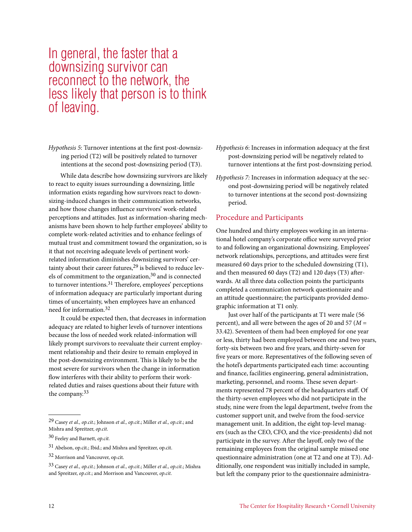# In general, the faster that a downsizing survivor can reconnect to the network, the less likely that person is to think of leaving.

*Hypothesis 5*: Turnover intentions at the first post-downsizing period (T2) will be positively related to turnover intentions at the second post-downsizing period (T3).

While data describe how downsizing survivors are likely to react to equity issues surrounding a downsizing, little information exists regarding how survivors react to downsizing-induced changes in their communication networks, and how those changes influence survivors' work-related perceptions and attitudes. Just as information-sharing mechanisms have been shown to help further employees' ability to complete work-related activities and to enhance feelings of mutual trust and commitment toward the organization, so is it that not receiving adequate levels of pertinent workrelated information diminishes downsizing survivors' certainty about their career futures,<sup>29</sup> is believed to reduce levels of commitment to the organization,30 and is connected to turnover intentions.31 Therefore, employees' perceptions of information adequacy are particularly important during times of uncertainty, when employees have an enhanced need for information.32

It could be expected then, that decreases in information adequacy are related to higher levels of turnover intentions because the loss of needed work related-information will likely prompt survivors to reevaluate their current employment relationship and their desire to remain employed in the post-downsizing environment. This is likely to be the most severe for survivors when the change in information flow interferes with their ability to perform their workrelated duties and raises questions about their future with the company.33

- *Hypothesis 6*: Increases in information adequacy at the first post-downsizing period will be negatively related to turnover intentions at the first post-downsizing period.
- *Hypothesis 7:* Increases in information adequacy at the second post-downsizing period will be negatively related to turnover intentions at the second post-downsizing period.

#### Procedure and Participants

One hundred and thirty employees working in an international hotel company's corporate office were surveyed prior to and following an organizational downsizing. Employees' network relationships, perceptions, and attitudes were first measured 60 days prior to the scheduled downsizing (T1), and then measured 60 days (T2) and 120 days (T3) afterwards. At all three data collection points the participants completed a communication network questionnaire and an attitude questionnaire; the participants provided demographic information at T1 only.

Just over half of the participants at T1 were male (56 percent), and all were between the ages of 20 and 57 (*M* = 33.42). Seventeen of them had been employed for one year or less, thirty had been employed between one and two years, forty-six between two and five years, and thirty-seven for five years or more. Representatives of the following seven of the hotel's departments participated each time: accounting and finance, facilities engineering, general administration, marketing, personnel, and rooms. These seven departments represented 78 percent of the headquarters staff. Of the thirty-seven employees who did not participate in the study, nine were from the legal department, twelve from the customer support unit, and twelve from the food-service management unit. In addition, the eight top-level managers (such as the CEO, CFO, and the vice-presidents) did not participate in the survey. After the layoff, only two of the remaining employees from the original sample missed one questionnaire administration (one at T2 and one at T3). Additionally, one respondent was initially included in sample, but left the company prior to the questionnaire administra-

<sup>29</sup> Casey *et al., op.cit*.; Johnson *et al., op.cit*.; Miller *et al., op.cit*.; and Mishra and Spreitzer, *op.cit*.

<sup>30</sup> Feeley and Barnett, *op.cit.*

<sup>31</sup> Abelson, op.cit.; Ibid.; and Mishra and Spreitzer, op.cit.

<sup>32</sup> Morrison and Vancouver, op.cit.

<sup>33</sup> Casey *et al., op.cit.*; Johnson *et al., op.cit*.; Miller *et al., op.cit*.; Mishra and Spreitzer, *op.cit*.; and Morrison and Vancouver, *op.cit*.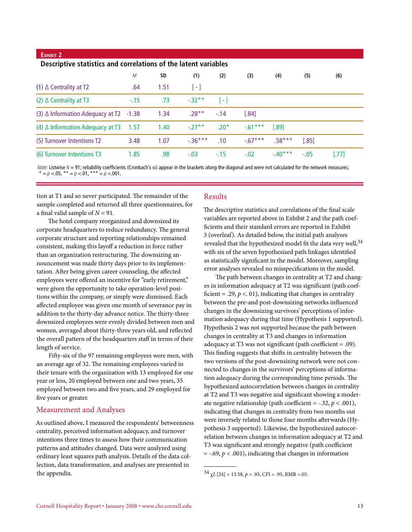| EXHIBIT 2                                                       |        |      |                   |                   |            |          |         |       |
|-----------------------------------------------------------------|--------|------|-------------------|-------------------|------------|----------|---------|-------|
| Descriptive statistics and correlations of the latent variables |        |      |                   |                   |            |          |         |       |
|                                                                 | M      | SD   | (1)               | (2)               | (3)        | (4)      | (5)     | (6)   |
| $(1)$ $\Delta$ Centrality at T2                                 | .64    | 1.51 | $\lceil - \rceil$ |                   |            |          |         |       |
| $(2)$ $\triangle$ Centrality at T3                              | $-.15$ | .73  | $-0.32**$         | $\lceil - \rceil$ |            |          |         |       |
| $(3)$ $\triangle$ Information Adequacy at T2 -1.38              |        | 1.34 | $.28**$           | $-.14$            | [.84]      |          |         |       |
| $(4)$ $\triangle$ Information Adequacy at T3                    | - 1.57 | 1.40 | $-27**$           | $.20*$            | $-0.61***$ | [.89]    |         |       |
| (5) Turnover Intentions T2                                      | 3.48   | 1.07 | $-36***$          | .10               | $-0.67***$ | $.58***$ | $[.85]$ |       |
| (6) Turnover Intentions T3                                      | 1.85   | .98  | $-.03$            | $-.15$            | $-.02$     | $-40***$ | $-.05$  | [.77] |

*Note:* Listwise *N* = 91; reliability coefficients (Cronbach's α) appear in the brackets along the diagonal and were not calculated for the network measures;  $p < 0.05$ , \*\*  $= p < 0.01$ , \*\*\*  $= p < 0.001$ .

tion at T1 and so never participated. The remainder of the sample completed and returned all three questionnaires, for a final valid sample of  $N = 91$ .

The hotel company reorganized and downsized its corporate headquarters to reduce redundancy. The general corporate structure and reporting relationships remained consistent, making this layoff a reduction in force rather than an organization restructuring. The downsizing announcement was made thirty days prior to its implementation. After being given career counseling, the affected employees were offered an incentive for "early retirement," were given the opportunity to take operation-level positions within the company, or simply were dismissed. Each affected employee was given one month of severance pay in addition to the thirty-day advance notice. The thirty-three downsized employees were evenly divided between men and women, averaged about thirty-three years old, and reflected the overall pattern of the headquarters staff in terms of their length of service.

Fifty-six of the 97 remaining employees were men, with an average age of 32. The remaining employees varied in their tenure with the organization with 13 employed for one year or less, 20 employed between one and two years, 35 employed between two and five years, and 29 employed for five years or greater.

#### Measurement and Analyses

As outlined above, I measured the respondents' betweenness centrality, perceived information adequacy, and turnover intentions three times to assess how their communication patterns and attitudes changed. Data were analyzed using ordinary least squares path analysis. Details of the data collection, data transformation, and analyses are presented in the appendix.

#### Results

The descriptive statistics and correlations of the final scale variables are reported above in Exhibit 2 and the path coefficients and their standard errors are reported in Exhibit 3 (overleaf). As detailed below, the initial path analyses revealed that the hypothesized model fit the data very well, 34 with six of the seven hypothesized path linkages identified as statistically significant in the model. Moreover, sampling error analyses revealed no misspecifications in the model.

The path between changes in centrality at T2 and changes in information adequacy at T2 was significant (path coefficient = .29,  $p < 01$ ), indicating that changes in centrality between the pre-and post-downsizing networks influenced changes in the downsizing survivors' perceptions of information adequacy during that time (Hypothesis 1 supported). Hypothesis 2 was not supported because the path between changes in centrality at T3 and changes in information adequacy at T3 was not significant (path coefficient = .09). This finding suggests that shifts in centrality between the two versions of the post-downsizing network were not connected to changes in the survivors' perceptions of information adequacy during the corresponding time periods. The hypothesized autocorrelation between changes in centrality at T2 and T3 was negative and significant showing a moderate negative relationship (path coefficient =  $-.32, p < .001$ ), indicating that changes in centrality from two months out were inversely related to those four months afterwards (Hypothesis 3 supported). Likewise, the hypothesized autocorrelation between changes in information adequacy at T2 and T3 was significant and strongly negative (path coefficient  $=$  -.69,  $p < .001$ ), indicating that changes in information

 $34 \chi$ 2 [24] = 13.58, *p* = .95, CFI = .95, RMR = .05.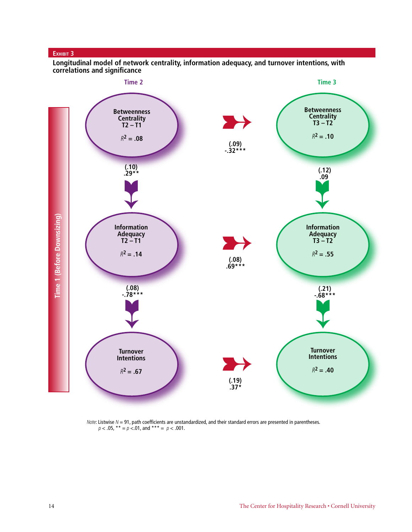#### **Exhibit 3**

**Longitudinal model of network centrality, information adequacy, and turnover intentions, with correlations and significance**



*Note*: Listwise *N* = 91, path coefficients are unstandardized, and their standard errors are presented in parentheses. *p* < .05, \*\* = *p* <.01, and \*\*\* = *p* < .001.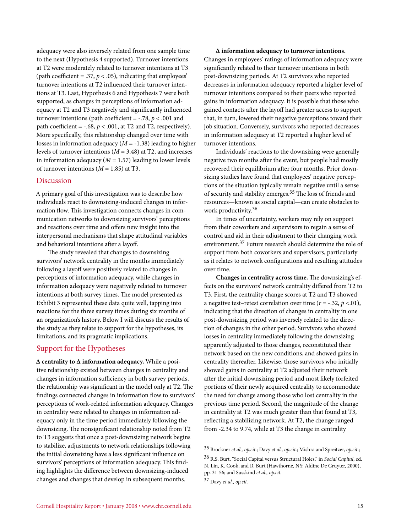adequacy were also inversely related from one sample time to the next (Hypothesis 4 supported). Turnover intentions at T2 were moderately related to turnover intentions at T3 (path coefficient = .37,  $p < .05$ ), indicating that employees' turnover intentions at T2 influenced their turnover intentions at T3. Last, Hypothesis 6 and Hypothesis 7 were both supported, as changes in perceptions of information adequacy at T2 and T3 negatively and significantly influenced turnover intentions (path coefficient =  $-.78$ ,  $p < .001$  and path coefficient =  $-.68$ ,  $p < .001$ , at T2 and T2, respectively). More specifically, this relationship changed over time with losses in information adequacy (*M* = -1.38) leading to higher levels of turnover intentions (*M* = 3.48) at T2, and increases in information adequacy  $(M = 1.57)$  leading to lower levels of turnover intentions  $(M = 1.85)$  at T3.

#### Discussion

A primary goal of this investigation was to describe how individuals react to downsizing-induced changes in information flow. This investigation connects changes in communication networks to downsizing survivors' perceptions and reactions over time and offers new insight into the interpersonal mechanisms that shape attitudinal variables and behavioral intentions after a layoff.

The study revealed that changes to downsizing survivors' network centrality in the months immediately following a layoff were positively related to changes in perceptions of information adequacy, while changes in information adequacy were negatively related to turnover intentions at both survey times. The model presented as Exhibit 3 represented these data quite well, tapping into reactions for the three survey times during six months of an organization's history. Below I will discuss the results of the study as they relate to support for the hypotheses, its limitations, and its pragmatic implications.

#### Support for the Hypotheses

**∆ centrality to ∆ information adequacy.** While a positive relationship existed between changes in centrality and changes in information sufficiency in both survey periods, the relationship was significant in the model only at T2. The findings connected changes in information flow to survivors' perceptions of work-related information adequacy. Changes in centrality were related to changes in information adequacy only in the time period immediately following the downsizing. The nonsignificant relationship noted from T2 to T3 suggests that once a post-downsizing network begins to stabilize, adjustments to network relationships following the initial downsizing have a less significant influence on survivors' perceptions of information adequacy. This finding highlights the difference between downsizing-induced changes and changes that develop in subsequent months.

**∆ information adequacy to turnover intentions.** Changes in employees' ratings of information adequacy were significantly related to their turnover intentions in both post-downsizing periods. At T2 survivors who reported decreases in information adequacy reported a higher level of turnover intentions compared to their peers who reported gains in information adequacy. It is possible that those who gained contacts after the layoff had greater access to support that, in turn, lowered their negative perceptions toward their job situation. Conversely, survivors who reported decreases in information adequacy at T2 reported a higher level of turnover intentions.

Individuals' reactions to the downsizing were generally negative two months after the event, but people had mostly recovered their equilibrium after four months. Prior downsizing studies have found that employees' negative perceptions of the situation typically remain negative until a sense of security and stability emerges.35 The loss of friends and resources—known as social capital—can create obstacles to work productivity.36

In times of uncertainty, workers may rely on support from their coworkers and supervisors to regain a sense of control and aid in their adjustment to their changing work environment.37 Future research should determine the role of support from both coworkers and supervisors, particularly as it relates to network configurations and resulting attitudes over time.

**Changes in centrality across time.** The downsizing's effects on the survivors' network centrality differed from T2 to T3. First, the centrality change scores at T2 and T3 showed a negative test–retest correlation over time  $(r = -.32, p < .01)$ , indicating that the direction of changes in centrality in one post-downsizing period was inversely related to the direction of changes in the other period. Survivors who showed losses in centrality immediately following the downsizing apparently adjusted to those changes, reconstituted their network based on the new conditions, and showed gains in centrality thereafter. Likewise, those survivors who initially showed gains in centrality at T2 adjusted their network after the initial downsizing period and most likely forfeited portions of their newly acquired centrality to accommodate the need for change among those who lost centrality in the previous time period. Second, the magnitude of the change in centrality at T2 was much greater than that found at T3, reflecting a stabilizing network. At T2, the change ranged from -2.34 to 9.74, while at T3 the change in centrality

<sup>35</sup> Brockner *et al., op.cit*.; Davy *et al., op.cit*.; Mishra and Spreitzer, *op.cit*.;

<sup>36</sup> R.S. Burt, "Social Capital versus Structural Holes," in *Social Capital*, ed. N. Lin, K. Cook, and R. Burt (Hawthorne, NY: Aldine De Gruyter, 2000), pp. 31-56; and Susskind *et al., op.cit*.

<sup>37</sup> Davy *et al., op.cit.*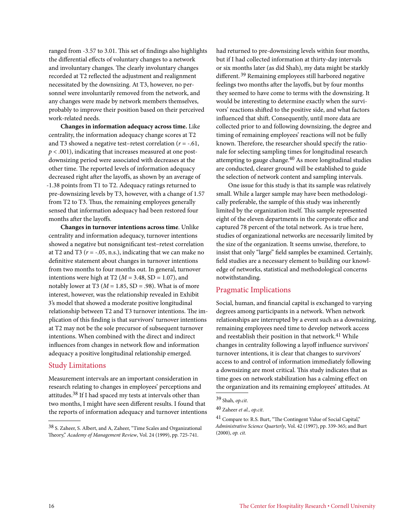ranged from -3.57 to 3.01. This set of findings also highlights the differential effects of voluntary changes to a network and involuntary changes. The clearly involuntary changes recorded at T2 reflected the adjustment and realignment necessitated by the downsizing. At T3, however, no personnel were involuntarily removed from the network, and any changes were made by network members themselves, probably to improve their position based on their perceived work-related needs.

**Changes in information adequacy across time.** Like centrality, the information adequacy change scores at T2 and T3 showed a negative test–retest correlation  $(r = -.61, ...)$ *p* < .001), indicating that increases measured at one postdownsizing period were associated with decreases at the other time. The reported levels of information adequacy decreased right after the layoffs, as shown by an average of -1.38 points from T1 to T2. Adequacy ratings returned to pre-downsizing levels by T3, however, with a change of 1.57 from T2 to T3. Thus, the remaining employees generally sensed that information adequacy had been restored four months after the layoffs.

**Changes in turnover intentions across time**. Unlike centrality and information adequacy, turnover intentions showed a negative but nonsignificant test–retest correlation at T2 and T3 ( $r = -.05$ , n.s.), indicating that we can make no definitive statement about changes in turnover intentions from two months to four months out. In general, turnover intentions were high at T2 ( $M = 3.48$ , SD = 1.07), and notably lower at T3 ( $M = 1.85$ , SD = .98). What is of more interest, however, was the relationship revealed in Exhibit 3's model that showed a moderate positive longitudinal relationship between T2 and T3 turnover intentions. The implication of this finding is that survivors' turnover intentions at T2 may not be the sole precursor of subsequent turnover intentions. When combined with the direct and indirect influences from changes in network flow and information adequacy a positive longitudinal relationship emerged.

#### Study Limitations

Measurement intervals are an important consideration in research relating to changes in employees' perceptions and attitudes.38 If I had spaced my tests at intervals other than two months, I might have seen different results. I found that the reports of information adequacy and turnover intentions

had returned to pre-downsizing levels within four months, but if I had collected information at thirty-day intervals or six months later (as did Shah), my data might be starkly different. 39 Remaining employees still harbored negative feelings two months after the layoffs, but by four months they seemed to have come to terms with the downsizing. It would be interesting to determine exactly when the survivors' reactions shifted to the positive side, and what factors influenced that shift. Consequently, until more data are collected prior to and following downsizing, the degree and timing of remaining employees' reactions will not be fully known. Therefore, the researcher should specify the rationale for selecting sampling times for longitudinal research attempting to gauge change.<sup>40</sup> As more longitudinal studies are conducted, clearer ground will be established to guide the selection of network content and sampling intervals.

One issue for this study is that its sample was relatively small. While a larger sample may have been methodologically preferable, the sample of this study was inherently limited by the organization itself. This sample represented eight of the eleven departments in the corporate office and captured 78 percent of the total network. As is true here, studies of organizational networks are necessarily limited by the size of the organization. It seems unwise, therefore, to insist that only "large" field samples be examined. Certainly, field studies are a necessary element to building our knowledge of networks, statistical and methodological concerns notwithstanding.

### Pragmatic Implications

Social, human, and financial capital is exchanged to varying degrees among participants in a network. When network relationships are interrupted by a event such as a downsizing, remaining employees need time to develop network access and reestablish their position in that network.<sup>41</sup> While changes in centrality following a layoff influence survivors' turnover intentions, it is clear that changes to survivors' access to and control of information immediately following a downsizing are most critical. This study indicates that as time goes on network stabilization has a calming effect on the organization and its remaining employees' attitudes. At

<sup>38</sup> S. Zaheer, S. Albert, and A, Zaheer, "Time Scales and Organizational Theory," *Academy of Management Review*, Vol. 24 (1999), pp. 725-741.

<sup>39</sup> Shah, *op.cit*.

<sup>40</sup> Zaheer *et al., op.cit*.

<sup>41</sup> Compare to: R.S. Burt, "The Contingent Value of Social Capital," *Administrative Science Quarterly*, Vol. 42 (1997), pp. 339-365; and Burt (2000), *op. cit.*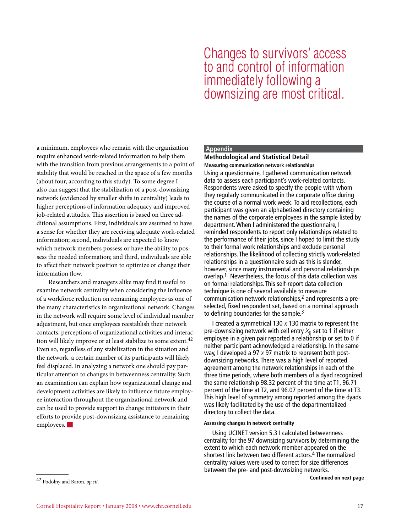#### Cornell Hospitality Report • January 2008 • www.chr.cornell.edu 17

42 Podolny and Baron, *op.cit.*

a minimum, employees who remain with the organization require enhanced work-related information to help them with the transition from previous arrangements to a point of stability that would be reached in the space of a few months (about four, according to this study). To some degree I also can suggest that the stabilization of a post-downsizing network (evidenced by smaller shifts in centrality) leads to higher perceptions of information adequacy and improved job-related attitudes. This assertion is based on three additional assumptions. First, individuals are assumed to have a sense for whether they are receiving adequate work-related information; second, individuals are expected to know which network members possess or have the ability to possess the needed information; and third, individuals are able to affect their network position to optimize or change their information flow.

Researchers and managers alike may find it useful to examine network centrality when considering the influence of a workforce reduction on remaining employees as one of the many characteristics in organizational network. Changes in the network will require some level of individual member adjustment, but once employees reestablish their network contacts, perceptions of organizational activities and interaction will likely improve or at least stabilize to some extent.<sup>42</sup> Even so, regardless of any stabilization in the situation and the network, a certain number of its participants will likely feel displaced. In analyzing a network one should pay particular attention to changes in betweenness centrality. Such an examination can explain how organizational change and development activities are likely to influence future employee interaction throughout the organizational network and can be used to provide support to change initiators in their efforts to provide post-downsizing assistance to remaining  $emplorees.$ 

#### **Appendix**

#### **Methodological and Statistical Detail**

Changes to survivors' access to and control of information

downsizing are most critical.

immediately following a

Using a questionnaire, I gathered communication network data to assess each participant's work-related contacts. Respondents were asked to specify the people with whom they regularly communicated in the corporate office during the course of a normal work week. To aid recollections, each participant was given an alphabetized directory containing the names of the corporate employees in the sample listed by department. When I administered the questionnaire, I reminded respondents to report only relationships related to the performance of their jobs, since I hoped to limit the study to their formal work relationships and exclude personal relationships. The likelihood of collecting strictly work-related relationships in a questionnaire such as this is slender, however, since many instrumental and personal relationships overlap.1 Nevertheless, the focus of this data collection was on formal relationships. This self-report data collection technique is one of several available to measure communication network relationships,2 and represents a preselected, fixed respondent set, based on a nominal approach to defining boundaries for the sample.<sup>3</sup> **Measuring communication network relationships**

I created a symmetrical 130 *x* 130 matrix to represent the pre-downsizing network with cell entry *X*ij set to 1 if either employee in a given pair reported a relationship or set to 0 if neither participant acknowledged a relationship. In the same way, I developed a 97 *x* 97 matrix to represent both postdownsizing networks. There was a high level of reported agreement among the network relationships in each of the three time periods, where both members of a dyad recognized the same relationship 98.32 percent of the time at T1, 96.71 percent of the time at T2, and 96.07 percent of the time at T3. This high level of symmetry among reported among the dyads was likely facilitated by the use of the departmentalized directory to collect the data.

#### **Assessing changes in network centrality**

Using UCINET version 5.3 I calculated betweenness centrality for the 97 downsizing survivors by determining the extent to which each network member appeared on the shortest link between two different actors.4 The normalized centrality values were used to correct for size differences between the pre- and post-downsizing networks.

**Continued on next page**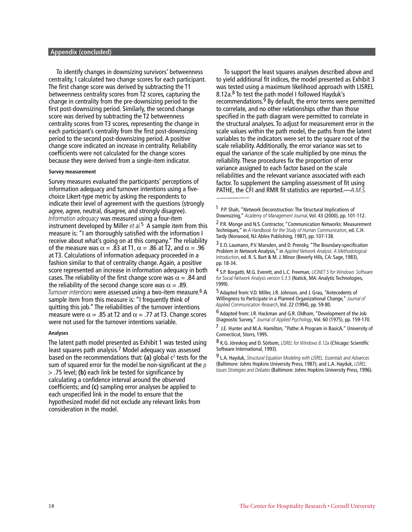#### **Appendix (concluded)**

To identify changes in downsizing survivors' betweenness centrality, I calculated two change scores for each participant. The first change score was derived by subtracting the T1 betweenness centrality scores from T2 scores, capturing the change in centrality from the pre-downsizing period to the first post-downsizing period. Similarly, the second change score was derived by subtracting the T2 betweenness centrality scores from T3 scores, representing the change in each participant's centrality from the first post-downsizing period to the second post-downsizing period. A positive change score indicated an increase in centrality. Reliability coefficients were not calculated for the change scores because they were derived from a single-item indicator.

#### **Survey measurement**

Survey measures evaluated the participants' perceptions of information adequacy and turnover intentions using a fivechoice Likert-type metric by asking the respondents to indicate their level of agreement with the questions (strongly agree, agree, neutral, disagree, and strongly disagree). *Information adequacy* was measured using a four-item instrument developed by Miller *et al.*5 A sample item from this measure is: "I am thoroughly satisfied with the information I receive about what's going on at this company." The reliability of the measure was  $\alpha = .83$  at T1,  $\alpha = .86$  at T2, and  $\alpha = .96$ at T3. Calculations of information adequacy proceeded in a fashion similar to that of centrality change. Again, a positive score represented an increase in information adequacy in both cases. The reliability of the first change score was  $\alpha = .84$  and the reliability of the second change score was  $\alpha = .89$ . *Turnover intentions* were assessed using a two-item measure.6 A sample item from this measure is: "I frequently think of quitting this job." The reliabilities of the turnover intentions measure were  $\alpha$  = .85 at T2 and  $\alpha$  = .77 at T3. Change scores were not used for the turnover intentions variable.

#### **Analyses**

The latent path model presented as Exhibit 1 was tested using least squares path analysis.7 Model adequacy was assessed based on the recommendations that: (a) global c<sup>2</sup> tests for the sum of squared error for the model be non-significant at the *p* > .75 level; **(b)** each link be tested for significance by calculating a confidence interval around the observed coefficients; and **(c)** sampling error analyses be applied to each unspecified link in the model to ensure that the hypothesized model did not exclude any relevant links from consideration in the model.

To support the least squares analyses described above and to yield additional fit indices, the model presented as Exhibit 3 was tested using a maximum likelihood approach with LISREL 8.12a.<sup>8</sup> To test the path model I followed Hayduk's recommendations.<sup>9</sup> By default, the error terms were permitted to correlate, and no other relationships other than those specified in the path diagram were permitted to correlate in the structural analyses. To adjust for measurement error in the scale values within the path model, the paths from the latent variables to the indicators were set to the square root of the scale reliability. Additionally, the error variance was set to equal the variance of the scale multiplied by one minus the reliability. These procedures fix the proportion of error variance assigned to each factor based on the scale reliabilities and the relevant variance associated with each factor. To supplement the sampling assessment of fit using PATHE, the CFI and RMR fit statistics are reported.—*A.M.S.*

7 J.E. Hunter and M.A. Hamilton, "Pathe: A Program in BasicA," University of Connecticut, Storrs, 1995.

8 K.G. Jöreskog and D. Sörbom, *LISREL for Windows 8.12a* (Chicago: Scientific Software International, 1993).

9 L.A. Hayduk, *Structural Equation Modeling with LISREL: Essentials and Advances* (Baltimore: Johns Hopkins University Press, 1987); and L.A. Hayduk, *LISREL: Issues Strategies and Debates* (Baltimore: Johns Hopkins University Press, 1996).

<sup>1</sup> P.P. Shah, "Network Deconstruction: The Structural Implications of Downsizing," *Academy of Management Journal*, Vol. 43 (2000), pp. 101-112.

<sup>&</sup>lt;sup>2</sup> P.R. Monge and N.S. Contractor, "Communication Networks: Measurement Techniques," in *A Handbook for the Study of Human Communication*, ed. C.H. Tardy (Norwood, NJ: Ablex Publishing, 1987), pp. 107-138.

<sup>3</sup> E.O. Laumann, P.V. Marsden, and D. Prensky, "The Boundary-specification Problem in Network Analysis," in *Applied Network Analysis: A Methodological Introduction*, ed. R. S. Burt & M. J. Minor (Beverly Hills, CA: Sage, 1983), pp. 18-34.

<sup>4</sup> S.P. Borgatti, M.G. Everett, and L.C. Freeman, *UCINET 5 for Windows: Software for Social Network Analysis version 5.3.5* (Natick, MA: Analytic Technologies, 1999).

<sup>5</sup> Adapted from: V.D. Miller, J.R. Johnson, and J. Grau, "Antecedents of Willingness to Participate in a Planned Organizational Change," *Journal of Applied Communication Research*, Vol. 22 (1994), pp. 59-80.

<sup>6</sup> Adapted from: J.R. Hackman and G.R. Oldham, "Development of the Job Diagnostic Survey," *Journal of Applied Psychology*, Vol. 60 (1975), pp. 159-170.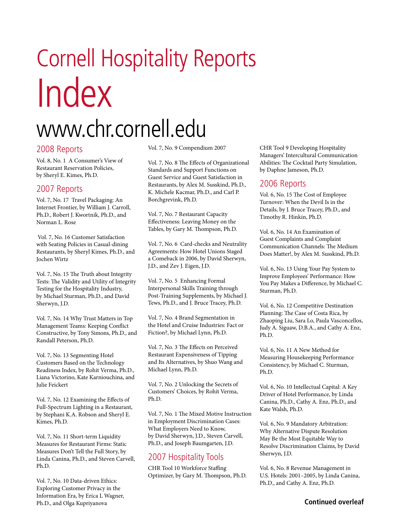# Cornell Hospitality Reports Index

# www.chr.cornell.edu

### 2008 Reports

Vol. 8, No. 1 A Consumer's View of Restaurant Reservation Policies, by Sheryl E. Kimes, Ph.D.

## 2007 Reports

Vol. 7, No. 17 Travel Packaging: An Internet Frontier, by William J. Carroll, Ph.D., Robert J. Kwortnik, Ph.D., and Norman L. Rose

 Vol. 7, No. 16 Customer Satisfaction with Seating Policies in Casual-dining Restaurants, by Sheryl Kimes, Ph.D., and Jochen Wirtz

Vol. 7, No. 15 The Truth about Integrity Tests: The Validity and Utility of Integrity Testing for the Hospitality Industry, by Michael Sturman, Ph.D., and David Sherwyn, J.D.

Vol. 7, No. 14 Why Trust Matters in Top Management Teams: Keeping Conflict Constructive, by Tony Simons, Ph.D., and Randall Peterson, Ph.D.

Vol. 7, No. 13 Segmenting Hotel Customers Based on the Technology Readiness Index, by Rohit Verma, Ph.D., Liana Victorino, Kate Karniouchina, and Julie Feickert

Vol. 7, No. 12 Examining the Effects of Full-Spectrum Lighting in a Restaurant, by Stephani K.A. Robson and Sheryl E. Kimes, Ph.D.

Vol. 7, No. 11 Short-term Liquidity Measures for Restaurant Firms: Static Measures Don't Tell the Full Story, by Linda Canina, Ph.D., and Steven Carvell, Ph.D.

Film, and Olga Kuphyanova • www.chr.cornell.edu 1999 • www.chr.cornell.edu 1999 • www.cornell.edu 1999 • www.chr.cornell.edu 1999 • www.chr.cornell.edu 1999 • www.chr.cornell.edu 1999 • www.chr.cornell.edu 1999 • www.chr.c Vol. 7, No. 10 Data-driven Ethics: Exploring Customer Privacy in the Information Era, by Erica L Wagner, Ph.D., and Olga Kupriyanova

Vol. 7, No. 9 Compendium 2007

Vol. 7, No. 8 The Effects of Organizational Standards and Support Functions on Guest Service and Guest Satisfaction in Restaurants, by Alex M. Susskind, Ph.D., K. Michele Kacmar, Ph.D., and Carl P. Borchgrevink, Ph.D.

Vol. 7, No. 7 Restaurant Capacity Effectiveness: Leaving Money on the Tables, by Gary M. Thompson, Ph.D.

Vol. 7, No. 6 Card-checks and Neutrality Agreements: How Hotel Unions Staged a Comeback in 2006, by David Sherwyn, J.D., and Zev J. Eigen, J.D.

Vol. 7, No. 5 Enhancing Formal Interpersonal Skills Training through Post-Training Supplements, by Michael J. Tews, Ph.D., and J. Bruce Tracey, Ph.D.

Vol. 7, No. 4 Brand Segmentation in the Hotel and Cruise Industries: Fact or Fiction?, by Michael Lynn, Ph.D.

Vol. 7, No. 3 The Effects on Perceived Restaurant Expensiveness of Tipping and Its Alternatives, by Shuo Wang and Michael Lynn, Ph.D.

Vol. 7, No. 2 Unlocking the Secrets of Customers' Choices, by Rohit Verma, Ph.D.

Vol. 7, No. 1 The Mixed Motive Instruction in Employment Discrimination Cases: What Employers Need to Know, by David Sherwyn, J.D., Steven Carvell, Ph.D., and Joseph Baumgarten, J.D.

## 2007 Hospitality Tools

CHR Tool 10 Workforce Staffing Optimizer, by Gary M. Thompson, Ph.D. CHR Tool 9 Developing Hospitality Managers' Intercultural Communication Abilities: The Cocktail Party Simulation, by Daphne Jameson, Ph.D.

## 2006 Reports

Vol. 6, No. 15 The Cost of Employee Turnover: When the Devil Is in the Details, by J. Bruce Tracey, Ph.D., and Timothy R. Hinkin, Ph.D.

Vol. 6, No. 14 An Examination of Guest Complaints and Complaint Communication Channels: The Medium Does Matter!, by Alex M. Susskind, Ph.D.

Vol. 6, No. 13 Using Your Pay System to Improve Employees' Performance: How You Pay Makes a Difference, by Michael C. Sturman, Ph.D.

Vol. 6, No. 12 Competitive Destination Planning: The Case of Costa Rica, by Zhaoping Liu, Sara Lo, Paula Vasconcellos, Judy A. Siguaw, D.B.A., and Cathy A. Enz, Ph.D.

Vol. 6, No. 11 A New Method for Measuring Housekeeping Performance Consistency, by Michael C. Sturman, Ph.D.

Vol. 6, No. 10 Intellectual Capital: A Key Driver of Hotel Performance, by Linda Canina, Ph.D., Cathy A. Enz, Ph.D., and Kate Walsh, Ph.D.

Vol. 6, No. 9 Mandatory Arbitration: Why Alternative Dispute Resolution May Be the Most Equitable Way to Resolve Discrimination Claims, by David Sherwyn, J.D.

Vol. 6, No. 8 Revenue Management in U.S. Hotels: 2001–2005, by Linda Canina, Ph.D., and Cathy A. Enz, Ph.D.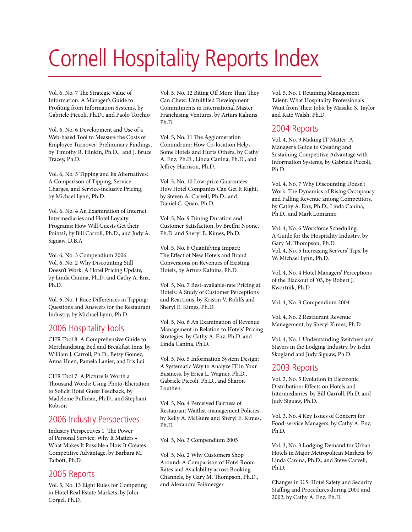# Cornell Hospitality Reports Index

Vol. 6, No. 7 The Strategic Value of Information: A Manager's Guide to Profiting from Information Systems, by Gabriele Piccoli, Ph.D., and Paolo Torchio

Vol. 6, No. 6 Development and Use of a Web-based Tool to Measure the Costs of Employee Turnover: Preliminary Findings, by Timothy R. Hinkin, Ph.D., and J. Bruce Tracey, Ph.D.

Vol. 6, No. 5 Tipping and Its Alternatives: A Comparison of Tipping, Service Charges, and Service-inclusive Pricing, by Michael Lynn, Ph.D.

Vol. 6, No. 4 An Examination of Internet Intermediaries and Hotel Loyalty Programs: How Will Guests Get their Points?, by Bill Carroll, Ph.D., and Judy A. Siguaw, D.B.A

Vol. 6, No. 3 Compendium 2006 Vol. 6, No. 2 Why Discounting Still Doesn't Work: A Hotel Pricing Update, by Linda Canina, Ph.D. and Cathy A. Enz, Ph.D.

Vol. 6, No. 1 Race Differences in Tipping: Questions and Answers for the Restaurant Industry, by Michael Lynn, Ph.D.

## 2006 Hospitality Tools

CHR Tool 8 A Comprehensive Guide to Merchandising Bed and Breakfast Inns, by William J. Carroll, Ph.D., Betsy Gomez, Anna Huen, Pamela Lanier, and Iris Lui

CHR Tool 7 A Picture Is Worth a Thousand Words: Using Photo-Elicitation to Solicit Hotel Guest Feedback, by Madeleine Pullman, Ph.D., and Stephani Robson

## 2006 Industry Perspectives

Industry Perspectives 1 The Power of Personal Service: Why It Matters • What Makes It Possible • How It Creates Competitive Advantage, by Barbara M. Talbott, Ph.D.

## 2005 Reports

Vol. 5, No. 13 Eight Rules for Competing in Hotel Real Estate Markets, by John Corgel, Ph.D.

Vol. 5, No. 12 Biting Off More Than They Can Chew: Unfulfilled Development Commitments in International Master Franchising Ventures, by Arturs Kalnins, Ph.D.

Vol. 5, No. 11 The Agglomeration Conundrum: How Co-location Helps Some Hotels and Hurts Others, by Cathy A. Enz, Ph.D., Linda Canina, Ph.D., and Jeffrey Harrison, Ph.D.

Vol. 5, No. 10 Low-price Guarantees: How Hotel Companies Can Get It Right, by Steven A. Carvell, Ph.D., and Daniel C. Quan, Ph.D.

Vol. 5, No. 9 Dining Duration and Customer Satisfaction, by Breffni Noone, Ph.D. and Sheryl E. Kimes, Ph.D.

Vol. 5, No. 8 Quantifying Impact: The Effect of New Hotels and Brand Conversions on Revenues of Existing Hotels, by Arturs Kalnins, Ph.D.

Vol. 5, No. 7 Best-available-rate Pricing at Hotels: A Study of Customer Perceptions and Reactions, by Kristin V. Rohlfs and Sheryl E. Kimes, Ph.D.

Vol. 5, No. 6 An Examination of Revenue Management in Relation to Hotels' Pricing Strategies, by Cathy A. Enz, Ph.D. and Linda Canina, Ph.D.

Vol. 5, No. 5 Information System Design: A Systematic Way to Analyze IT in Your Business, by Erica L. Wagner, Ph.D., Gabriele Piccoli, Ph.D., and Sharon Louthen.

Vol. 5, No. 4 Perceived Fairness of Restaurant Waitlist-management Policies, by Kelly A. McGuire and Sheryl E. Kimes, Ph.D.

Vol. 5, No. 3 Compendium 2005

Vol. 5, No. 2 Why Customers Shop Around: A Comparison of Hotel Room Rates and Availability across Booking Channels, by Gary M. Thompson, Ph.D., and Alexandra Failmezger

Vol. 5, No. 1 Retaining Management Talent: What Hospitality Professionals Want from Their Jobs, by Masako S. Taylor and Kate Walsh, Ph.D.

## 2004 Reports

Vol. 4, No. 9 Making IT Matter: A Manager's Guide to Creating and Sustaining Competitive Advantage with Information Systems, by Gabriele Piccoli, Ph.D.

Vol. 4, No. 7 Why Discounting Doesn't Work: The Dynamics of Rising Occupancy and Falling Revenue among Competitors, by Cathy A. Enz, Ph.D., Linda Canina, Ph.D., and Mark Lomanno

Vol. 4, No. 6 Workforce Scheduling: A Guide for the Hospitality Industry, by Gary M. Thompson, Ph.D. Vol. 4, No. 5 Increasing Servers' Tips, by W. Michael Lynn, Ph.D.

Vol. 4, No. 4 Hotel Managers' Perceptions of the Blackout of '03, by Robert J. Kwortnik, Ph.D.

Vol. 4, No. 3 Compendium 2004

Vol. 4, No. 2 Restaurant Revenue Management, by Sheryl Kimes, Ph.D.

Vol. 4, No. 1 Understanding Switchers and Stayers in the Lodging Industry, by Iselin Skogland and Judy Siguaw, Ph.D.

## 2003 Reports

Vol. 3, No. 5 Evolution in Electronic Distribution: Effects on Hotels and Intermediaries, by Bill Carroll, Ph.D. and Judy Siguaw, Ph.D.

Vol. 3, No. 4 Key Issues of Concern for Food-service Managers, by Cathy A. Enz, Ph.D.

Vol. 3, No. 3 Lodging Demand for Urban Hotels in Major Metropolitan Markets, by Linda Canina, Ph.D., and Steve Carvell, Ph.D.

Changes in U.S. Hotel Safety and Security Staffing and Procedures during 2001 and 2002, by Cathy A. Enz, Ph.D.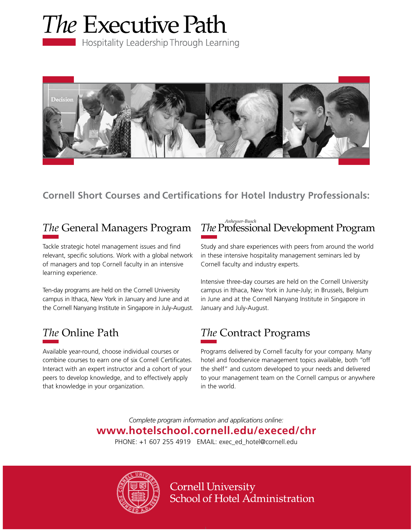



## **Cornell Short Courses and Certifications for Hotel Industry Professionals:**

## *The* General Managers Program

Tackle strategic hotel management issues and find relevant, specific solutions. Work with a global network of managers and top Cornell faculty in an intensive learning experience.

Ten-day programs are held on the Cornell University campus in Ithaca, New York in January and June and at the Cornell Nanyang Institute in Singapore in July-August.

## *The* Online Path

Available year-round, choose individual courses or combine courses to earn one of six Cornell Certificates. Interact with an expert instructor and a cohort of your peers to develop knowledge, and to effectively apply that knowledge in your organization.

### *The* Professional Development Program *Anheuser-Busch*

Study and share experiences with peers from around the world in these intensive hospitality management seminars led by Cornell faculty and industry experts.

Intensive three-day courses are held on the Cornell University campus in Ithaca, New York in June-July; in Brussels, Belgium in June and at the Cornell Nanyang Institute in Singapore in January and July-August.

## *The* Contract Programs

Programs delivered by Cornell faculty for your company. Many hotel and foodservice management topics available, both "off the shelf" and custom developed to your needs and delivered to your management team on the Cornell campus or anywhere in the world.

*Complete program information and applications online:* **www.hotelschool.cornell.edu/execed/chr** PHONE: +1 607 255 4919 EMAIL: exec\_ed\_hotel@cornell.edu



**Cornell University** School of Hotel Administration